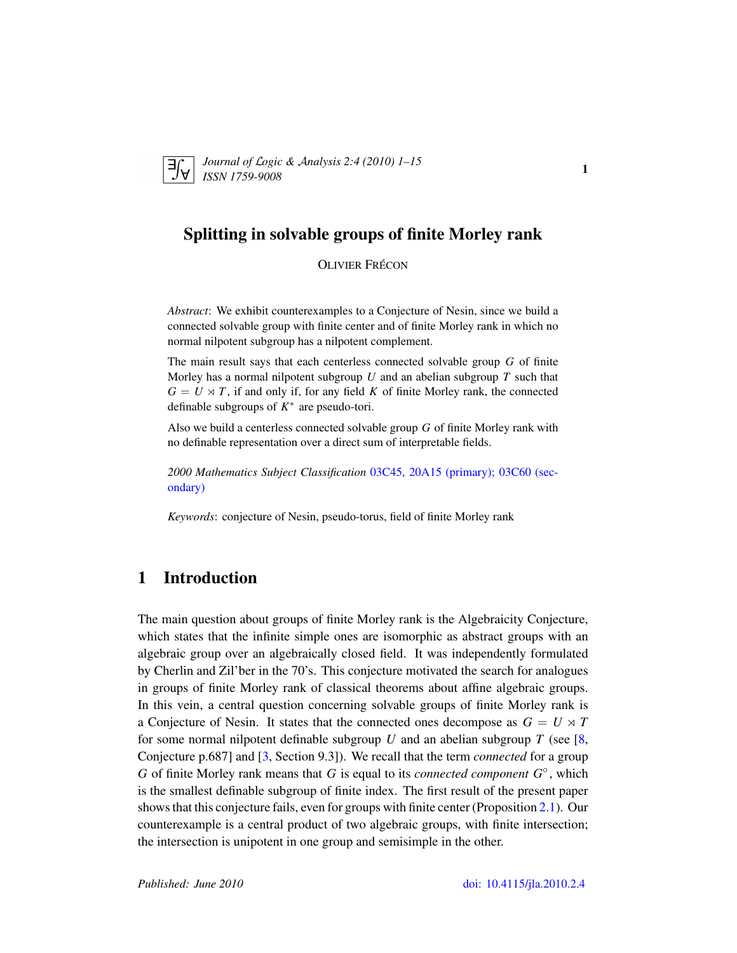<span id="page-0-0"></span>

*Journal of* L*ogic &* A*nalysis 2:4 (2010) 1–15 ISSN 1759-9008* 1

## Splitting in solvable groups of finite Morley rank

**OLIVIER FRÉCON** 

*Abstract*: We exhibit counterexamples to a Conjecture of Nesin, since we build a connected solvable group with finite center and of finite Morley rank in which no normal nilpotent subgroup has a nilpotent complement.

The main result says that each centerless connected solvable group *G* of finite Morley has a normal nilpotent subgroup *U* and an abelian subgroup *T* such that  $G = U \rtimes T$ , if and only if, for any field K of finite Morley rank, the connected definable subgroups of  $K^*$  are pseudo-tori.

Also we build a centerless connected solvable group *G* of finite Morley rank with no definable representation over a direct sum of interpretable fields.

*2000 Mathematics Subject Classification* [03C45, 20A15 \(primary\); 03C60 \(sec](http://www.ams.org/mathscinet/search/mscdoc.html?code=03C45, 20A15,(03C60))[ondary\)](http://www.ams.org/mathscinet/search/mscdoc.html?code=03C45, 20A15,(03C60))

*Keywords*: conjecture of Nesin, pseudo-torus, field of finite Morley rank

## 1 Introduction

The main question about groups of finite Morley rank is the Algebraicity Conjecture, which states that the infinite simple ones are isomorphic as abstract groups with an algebraic group over an algebraically closed field. It was independently formulated by Cherlin and Zil'ber in the 70's. This conjecture motivated the search for analogues in groups of finite Morley rank of classical theorems about affine algebraic groups. In this vein, a central question concerning solvable groups of finite Morley rank is a Conjecture of Nesin. It states that the connected ones decompose as  $G = U \times T$ for some normal nilpotent definable subgroup *U* and an abelian subgroup *T* (see [\[8,](#page-14-0) Conjecture p.687] and [\[3,](#page-13-0) Section 9.3]). We recall that the term *connected* for a group *G* of finite Morley rank means that *G* is equal to its *connected component G*◦ , which is the smallest definable subgroup of finite index. The first result of the present paper shows that this conjecture fails, even for groups with finite center (Proposition [2.1\)](#page-2-0). Our counterexample is a central product of two algebraic groups, with finite intersection; the intersection is unipotent in one group and semisimple in the other.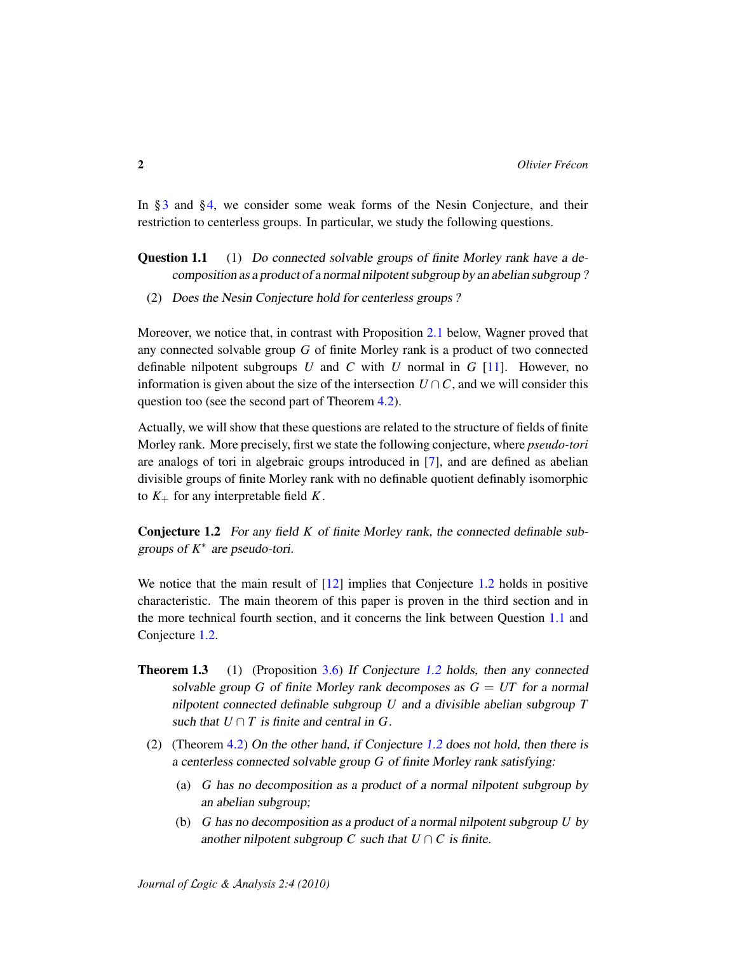In §[3](#page-4-0) and §[4,](#page-7-0) we consider some weak forms of the Nesin Conjecture, and their restriction to centerless groups. In particular, we study the following questions.

Question 1.1 (1) Do connected solvable groups of finite Morley rank have a decomposition as a product of a normal nilpotent subgroup by an abelian subgroup ?

(2) Does the Nesin Conjecture hold for centerless groups ?

Moreover, we notice that, in contrast with Proposition [2.1](#page-2-0) below, Wagner proved that any connected solvable group *G* of finite Morley rank is a product of two connected definable nilpotent subgroups *U* and *C* with *U* normal in *G* [\[11\]](#page-14-1). However, no information is given about the size of the intersection  $U \cap C$ , and we will consider this question too (see the second part of Theorem [4.2\)](#page-7-1).

Actually, we will show that these questions are related to the structure of fields of finite Morley rank. More precisely, first we state the following conjecture, where *pseudo-tori* are analogs of tori in algebraic groups introduced in [\[7\]](#page-14-2), and are defined as abelian divisible groups of finite Morley rank with no definable quotient definably isomorphic to  $K_{+}$  for any interpretable field  $K$ .

<span id="page-1-0"></span>Conjecture 1.2 For any field *K* of finite Morley rank, the connected definable subgroups of *K* ∗ are pseudo-tori.

We notice that the main result of  $[12]$  implies that Conjecture [1.2](#page-1-0) holds in positive characteristic. The main theorem of this paper is proven in the third section and in the more technical fourth section, and it concerns the link between Question [1.1](#page-0-0) and Conjecture [1.2.](#page-1-0)

- **Theorem 1.3** (1) (Proposition [3.6\)](#page-5-0) If Conjecture [1.2](#page-1-0) holds, then any connected solvable group *G* of finite Morley rank decomposes as  $G = UT$  for a normal nilpotent connected definable subgroup *U* and a divisible abelian subgroup *T* such that  $U \cap T$  is finite and central in G.
	- (2) (Theorem [4.2\)](#page-7-1) On the other hand, if Conjecture [1.2](#page-1-0) does not hold, then there is a centerless connected solvable group *G* of finite Morley rank satisfying:
		- (a) *G* has no decomposition as a product of a normal nilpotent subgroup by an abelian subgroup;
		- (b) *G* has no decomposition as a product of a normal nilpotent subgroup *U* by another nilpotent subgroup *C* such that  $U \cap C$  is finite.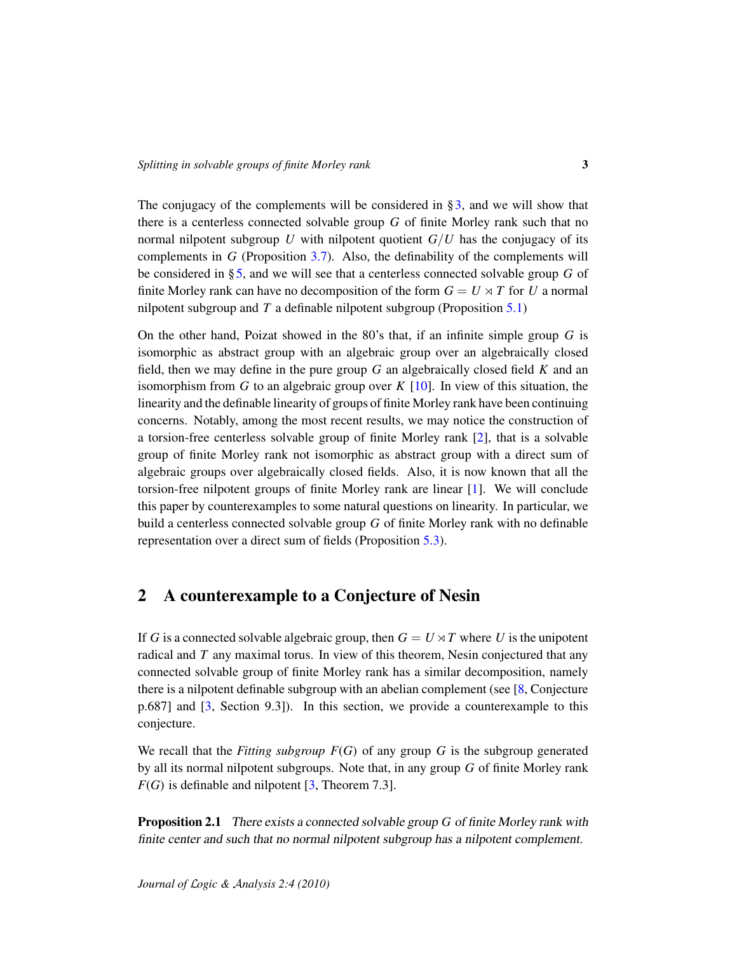The conjugacy of the complements will be considered in  $\S$ 3, and we will show that there is a centerless connected solvable group *G* of finite Morley rank such that no normal nilpotent subgroup *U* with nilpotent quotient  $G/U$  has the conjugacy of its complements in *G* (Proposition [3.7\)](#page-6-0). Also, the definability of the complements will be considered in [§5,](#page-10-0) and we will see that a centerless connected solvable group *G* of finite Morley rank can have no decomposition of the form  $G = U \rtimes T$  for *U* a normal nilpotent subgroup and *T* a definable nilpotent subgroup (Proposition [5.1\)](#page-10-1)

On the other hand, Poizat showed in the 80's that, if an infinite simple group *G* is isomorphic as abstract group with an algebraic group over an algebraically closed field, then we may define in the pure group *G* an algebraically closed field *K* and an isomorphism from *G* to an algebraic group over *K* [\[10\]](#page-14-4). In view of this situation, the linearity and the definable linearity of groups of finite Morley rank have been continuing concerns. Notably, among the most recent results, we may notice the construction of a torsion-free centerless solvable group of finite Morley rank [\[2\]](#page-13-1), that is a solvable group of finite Morley rank not isomorphic as abstract group with a direct sum of algebraic groups over algebraically closed fields. Also, it is now known that all the torsion-free nilpotent groups of finite Morley rank are linear [\[1\]](#page-13-2). We will conclude this paper by counterexamples to some natural questions on linearity. In particular, we build a centerless connected solvable group *G* of finite Morley rank with no definable representation over a direct sum of fields (Proposition [5.3\)](#page-12-0).

## 2 A counterexample to a Conjecture of Nesin

If *G* is a connected solvable algebraic group, then  $G = U \rtimes T$  where *U* is the unipotent radical and *T* any maximal torus. In view of this theorem, Nesin conjectured that any connected solvable group of finite Morley rank has a similar decomposition, namely there is a nilpotent definable subgroup with an abelian complement (see [\[8,](#page-14-0) Conjecture p.687] and [\[3,](#page-13-0) Section 9.3]). In this section, we provide a counterexample to this conjecture.

We recall that the *Fitting subgroup F*(*G*) of any group *G* is the subgroup generated by all its normal nilpotent subgroups. Note that, in any group *G* of finite Morley rank  $F(G)$  is definable and nilpotent  $[3,$  Theorem 7.3].

<span id="page-2-0"></span>Proposition 2.1 There exists a connected solvable group *G* of finite Morley rank with finite center and such that no normal nilpotent subgroup has a nilpotent complement.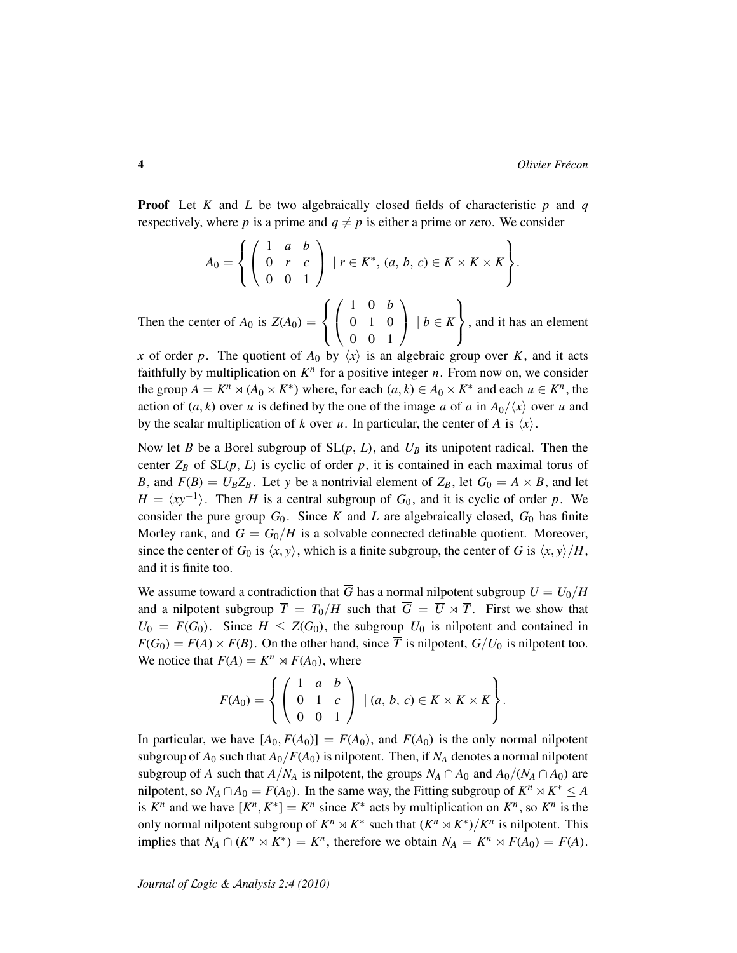Proof Let *K* and *L* be two algebraically closed fields of characteristic *p* and *q* respectively, where p is a prime and  $q \neq p$  is either a prime or zero. We consider

$$
A_0 = \left\{ \left( \begin{array}{ccc} 1 & a & b \\ 0 & r & c \\ 0 & 0 & 1 \end{array} \right) \; | \; r \in K^*, \, (a, b, c) \in K \times K \times K \right\}.
$$

Then the center of  $A_0$  is  $Z(A_0)$  =  $\sqrt{ }$  $\left| \right|$  $\mathcal{L}$  $\sqrt{ }$  $\mathcal{L}$ 1 0 *b* 0 1 0 0 0 1  $\setminus$  <sup>|</sup> *<sup>b</sup>* <sup>∈</sup> *<sup>K</sup>*  $\mathcal{L}$  $\mathcal{L}$  $\int$ , and it has an element

*x* of order *p*. The quotient of  $A_0$  by  $\langle x \rangle$  is an algebraic group over *K*, and it acts faithfully by multiplication on  $K<sup>n</sup>$  for a positive integer *n*. From now on, we consider the group  $A = K^n \rtimes (A_0 \times K^*)$  where, for each  $(a, k) \in A_0 \times K^*$  and each  $u \in K^n$ , the action of  $(a, k)$  over *u* is defined by the one of the image  $\overline{a}$  of *a* in  $A_0/\langle x \rangle$  over *u* and by the scalar multiplication of *k* over *u*. In particular, the center of *A* is  $\langle x \rangle$ .

Now let *B* be a Borel subgroup of SL(*p*, *L*), and *U<sup>B</sup>* its unipotent radical. Then the center  $Z_B$  of  $SL(p, L)$  is cyclic of order p, it is contained in each maximal torus of *B*, and  $F(B) = U_B Z_B$ . Let *y* be a nontrivial element of  $Z_B$ , let  $G_0 = A \times B$ , and let  $H = \langle xy^{-1} \rangle$ . Then *H* is a central subgroup of *G*<sub>0</sub>, and it is cyclic of order *p*. We consider the pure group  $G_0$ . Since *K* and *L* are algebraically closed,  $G_0$  has finite Morley rank, and  $\overline{G} = G_0/H$  is a solvable connected definable quotient. Moreover, since the center of  $G_0$  is  $\langle x, y \rangle$ , which is a finite subgroup, the center of  $\overline{G}$  is  $\langle x, y \rangle /H$ , and it is finite too.

We assume toward a contradiction that  $\overline{G}$  has a normal nilpotent subgroup  $\overline{U} = U_0/H$ and a nilpotent subgroup  $\overline{T} = T_0/H$  such that  $\overline{G} = \overline{U} \rtimes \overline{T}$ . First we show that  $U_0 = F(G_0)$ . Since  $H \leq Z(G_0)$ , the subgroup  $U_0$  is nilpotent and contained in  $F(G_0) = F(A) \times F(B)$ . On the other hand, since  $\overline{T}$  is nilpotent,  $G/U_0$  is nilpotent too. We notice that  $F(A) = K^n \rtimes F(A_0)$ , where

$$
F(A_0) = \left\{ \left( \begin{array}{ccc} 1 & a & b \\ 0 & 1 & c \\ 0 & 0 & 1 \end{array} \right) \mid (a, b, c) \in K \times K \times K \right\}.
$$

In particular, we have  $[A_0, F(A_0)] = F(A_0)$ , and  $F(A_0)$  is the only normal nilpotent subgroup of  $A_0$  such that  $A_0/F(A_0)$  is nilpotent. Then, if  $N_A$  denotes a normal nilpotent subgroup of *A* such that  $A/N_A$  is nilpotent, the groups  $N_A \cap A_0$  and  $A_0/(N_A \cap A_0)$  are nilpotent, so  $N_A \cap A_0 = F(A_0)$ . In the same way, the Fitting subgroup of  $K^n \rtimes K^* \leq A$ is  $K^n$  and we have  $[K^n, K^*] = K^n$  since  $K^*$  acts by multiplication on  $K^n$ , so  $K^n$  is the only normal nilpotent subgroup of  $K^n \rtimes K^*$  such that  $(K^n \rtimes K^*)/K^n$  is nilpotent. This implies that  $N_A \cap (K^n \rtimes K^*) = K^n$ , therefore we obtain  $N_A = K^n \rtimes F(A_0) = F(A)$ .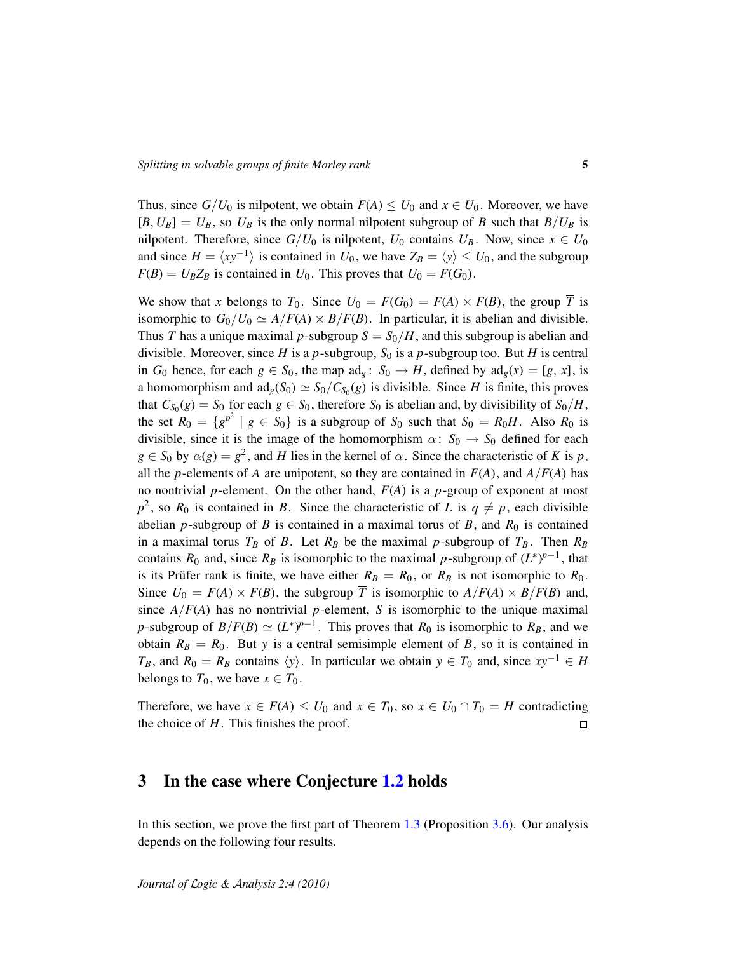Thus, since  $G/U_0$  is nilpotent, we obtain  $F(A) \leq U_0$  and  $x \in U_0$ . Moreover, we have  $[B, U_B] = U_B$ , so  $U_B$  is the only normal nilpotent subgroup of *B* such that  $B/U_B$  is nilpotent. Therefore, since  $G/U_0$  is nilpotent,  $U_0$  contains  $U_B$ . Now, since  $x \in U_0$ and since  $H = \langle xy^{-1} \rangle$  is contained in  $U_0$ , we have  $Z_B = \langle y \rangle \le U_0$ , and the subgroup  $F(B) = U_B Z_B$  is contained in  $U_0$ . This proves that  $U_0 = F(G_0)$ .

We show that *x* belongs to  $T_0$ . Since  $U_0 = F(G_0) = F(A) \times F(B)$ , the group  $\overline{T}$  is isomorphic to  $G_0/U_0 \simeq A/F(A) \times B/F(B)$ . In particular, it is abelian and divisible. Thus  $\overline{T}$  has a unique maximal p-subgroup  $\overline{S} = S_0/H$ , and this subgroup is abelian and divisible. Moreover, since *H* is a *p*-subgroup,  $S_0$  is a *p*-subgroup too. But *H* is central in *G*<sub>0</sub> hence, for each  $g \in S_0$ , the map  $\text{ad}_g : S_0 \to H$ , defined by  $\text{ad}_g(x) = [g, x]$ , is a homomorphism and  $ad_g(S_0) \simeq S_0/C_{S_0}(g)$  is divisible. Since *H* is finite, this proves that  $C_{S_0}(g) = S_0$  for each  $g \in S_0$ , therefore  $S_0$  is abelian and, by divisibility of  $S_0/H$ , the set  $R_0 = \{g^{p^2} \mid g \in S_0\}$  is a subgroup of  $S_0$  such that  $S_0 = R_0H$ . Also  $R_0$  is divisible, since it is the image of the homomorphism  $\alpha: S_0 \to S_0$  defined for each  $g \in S_0$  by  $\alpha(g) = g^2$ , and *H* lies in the kernel of  $\alpha$ . Since the characteristic of *K* is *p*, all the *p*-elements of *A* are unipotent, so they are contained in  $F(A)$ , and  $A/F(A)$  has no nontrivial *p*-element. On the other hand, *F*(*A*) is a *p*-group of exponent at most  $p^2$ , so  $R_0$  is contained in *B*. Since the characteristic of *L* is  $q \neq p$ , each divisible abelian *p*-subgroup of *B* is contained in a maximal torus of *B*, and  $R_0$  is contained in a maximal torus  $T_B$  of *B*. Let  $R_B$  be the maximal *p*-subgroup of  $T_B$ . Then  $R_B$ contains  $R_0$  and, since  $R_B$  is isomorphic to the maximal *p*-subgroup of  $(L^*)^{p-1}$ , that is its Prüfer rank is finite, we have either  $R_B = R_0$ , or  $R_B$  is not isomorphic to  $R_0$ . Since  $U_0 = F(A) \times F(B)$ , the subgroup  $\overline{T}$  is isomorphic to  $A/F(A) \times B/F(B)$  and, since  $A/F(A)$  has no nontrivial *p*-element,  $\overline{S}$  is isomorphic to the unique maximal *p*-subgroup of  $B/F(B) \simeq (L^*)^{p-1}$ . This proves that  $R_0$  is isomorphic to  $R_B$ , and we obtain  $R_B = R_0$ . But *y* is a central semisimple element of *B*, so it is contained in *T<sub>B</sub>*, and  $R_0 = R_B$  contains  $\langle y \rangle$ . In particular we obtain  $y \in T_0$  and, since  $xy^{-1} \in H$ belongs to  $T_0$ , we have  $x \in T_0$ .

Therefore, we have  $x \in F(A) \leq U_0$  and  $x \in T_0$ , so  $x \in U_0 \cap T_0 = H$  contradicting the choice of *H*. This finishes the proof.  $\Box$ 

#### <span id="page-4-0"></span>3 In the case where Conjecture [1.2](#page-1-0) holds

In this section, we prove the first part of Theorem [1.3](#page-0-0) (Proposition [3.6\)](#page-5-0). Our analysis depends on the following four results.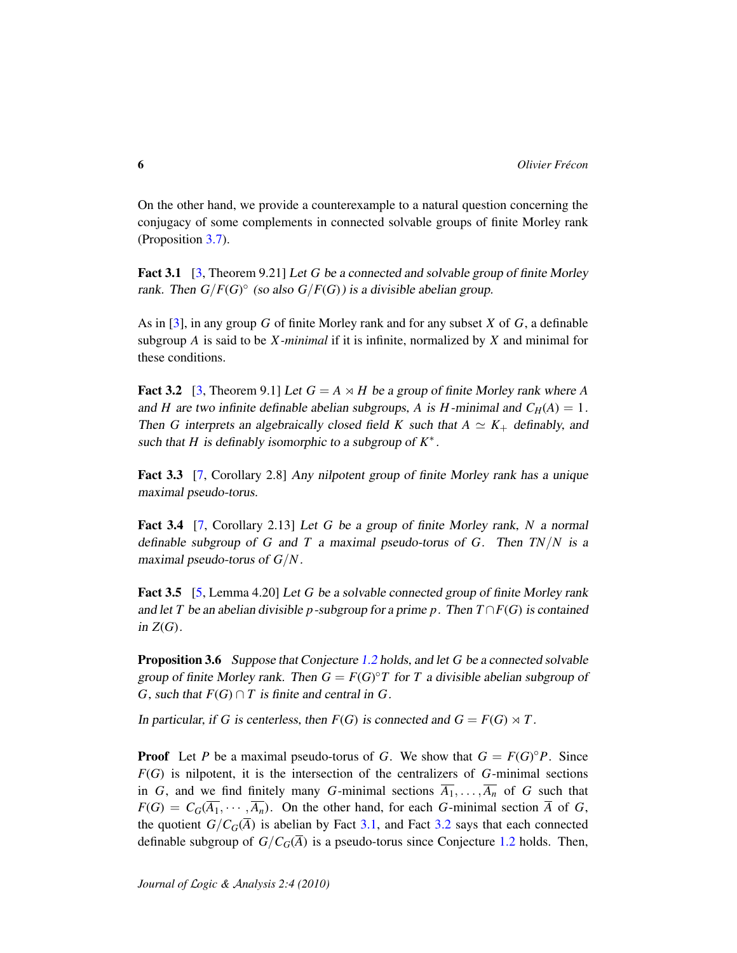On the other hand, we provide a counterexample to a natural question concerning the conjugacy of some complements in connected solvable groups of finite Morley rank (Proposition [3.7\)](#page-6-0).

<span id="page-5-1"></span>Fact 3.1 [\[3,](#page-13-0) Theorem 9.21] Let *G* be a connected and solvable group of finite Morley rank. Then  $G/F(G)^\circ$  (so also  $G/F(G)$ ) is a divisible abelian group.

As in [\[3\]](#page-13-0), in any group *G* of finite Morley rank and for any subset *X* of *G*, a definable subgroup *A* is said to be *X -minimal* if it is infinite, normalized by *X* and minimal for these conditions.

<span id="page-5-2"></span>**Fact 3.2** [\[3,](#page-13-0) Theorem 9.1] Let  $G = A \times H$  be a group of finite Morley rank where A and *H* are two infinite definable abelian subgroups, *A* is *H*-minimal and  $C_H(A) = 1$ . Then *G* interprets an algebraically closed field *K* such that  $A \simeq K_+$  definably, and such that  $H$  is definably isomorphic to a subgroup of  $K^*$ .

<span id="page-5-3"></span>Fact 3.3 [\[7,](#page-14-2) Corollary 2.8] Any nilpotent group of finite Morley rank has a unique maximal pseudo-torus.

<span id="page-5-4"></span>Fact 3.4 [\[7,](#page-14-2) Corollary 2.13] Let *G* be a group of finite Morley rank, *N* a normal definable subgroup of *G* and *T* a maximal pseudo-torus of *G*. Then *TN*/*N* is a maximal pseudo-torus of *G*/*N*.

<span id="page-5-5"></span>Fact 3.5 [\[5,](#page-13-3) Lemma 4.20] Let *G* be a solvable connected group of finite Morley rank and let *T* be an abelian divisible *p*-subgroup for a prime *p*. Then  $T \cap F(G)$  is contained in  $Z(G)$ .

<span id="page-5-0"></span>Proposition 3.6 Suppose that Conjecture [1.2](#page-1-0) holds, and let *G* be a connected solvable group of finite Morley rank. Then  $G = F(G)^{\circ}T$  for  $T$  a divisible abelian subgroup of *G*, such that  $F(G) \cap T$  is finite and central in *G*.

In particular, if *G* is centerless, then  $F(G)$  is connected and  $G = F(G) \rtimes T$ .

**Proof** Let *P* be a maximal pseudo-torus of *G*. We show that  $G = F(G)^{\circ}P$ . Since *F*(*G*) is nilpotent, it is the intersection of the centralizers of *G*-minimal sections in *G*, and we find finitely many *G*-minimal sections  $\overline{A_1}, \ldots, \overline{A_n}$  of *G* such that  $F(G) = C_G(\overline{A_1}, \cdots, \overline{A_n})$ . On the other hand, for each *G*-minimal section  $\overline{A}$  of *G*, the quotient  $G/C_G(\overline{A})$  is abelian by Fact [3.1,](#page-5-1) and Fact [3.2](#page-5-2) says that each connected definable subgroup of  $G/C_G(\overline{A})$  is a pseudo-torus since Conjecture [1.2](#page-1-0) holds. Then,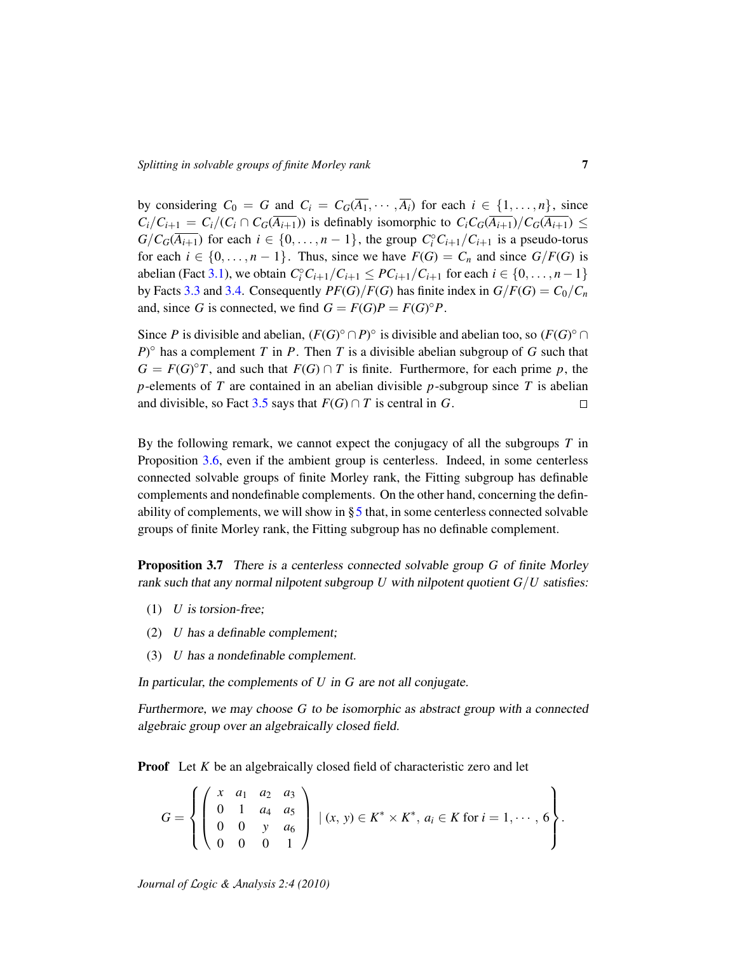by considering  $C_0 = G$  and  $C_i = C_G(\overline{A_1}, \cdots, \overline{A_i})$  for each  $i \in \{1, \ldots, n\}$ , since  $C_i/C_{i+1} = C_i/(C_i \cap C_G(\overline{A_{i+1}}))$  is definably isomorphic to  $C_i C_G(\overline{A_{i+1}})/C_G(\overline{A_{i+1}}) \le$  $G/C_G(\overline{A_{i+1}})$  for each  $i \in \{0, \ldots, n-1\}$ , the group  $C_i^{\circ}C_{i+1}/C_{i+1}$  is a pseudo-torus for each  $i \in \{0, \ldots, n-1\}$ . Thus, since we have  $F(G) = C_n$  and since  $G/F(G)$  is abelian (Fact [3.1\)](#page-5-1), we obtain  $C_i^{\circ}C_{i+1}/C_{i+1} \leq PC_{i+1}/C_{i+1}$  for each  $i \in \{0, \ldots, n-1\}$ by Facts [3.3](#page-5-3) and [3.4.](#page-5-4) Consequently  $PF(G)/F(G)$  has finite index in  $G/F(G) = C_0/C_n$ and, since *G* is connected, we find  $G = F(G)P = F(G)^\circ P$ .

Since *P* is divisible and abelian,  $(F(G)^\circ \cap P)^\circ$  is divisible and abelian too, so  $(F(G)^\circ \cap P)^\circ$  $P$ <sup> $\circ$ </sup> has a complement *T* in *P*. Then *T* is a divisible abelian subgroup of *G* such that  $G = F(G)^{\circ}T$ , and such that  $F(G) \cap T$  is finite. Furthermore, for each prime *p*, the *p*-elements of *T* are contained in an abelian divisible *p*-subgroup since *T* is abelian and divisible, so Fact [3.5](#page-5-5) says that  $F(G) \cap T$  is central in *G*.  $\Box$ 

By the following remark, we cannot expect the conjugacy of all the subgroups *T* in Proposition [3.6,](#page-5-0) even if the ambient group is centerless. Indeed, in some centerless connected solvable groups of finite Morley rank, the Fitting subgroup has definable complements and nondefinable complements. On the other hand, concerning the definability of complements, we will show in  $\S 5$  $\S 5$  that, in some centerless connected solvable groups of finite Morley rank, the Fitting subgroup has no definable complement.

<span id="page-6-0"></span>Proposition 3.7 There is a centerless connected solvable group *G* of finite Morley rank such that any normal nilpotent subgroup  $U$  with nilpotent quotient  $G/U$  satisfies:

- (1) *U* is torsion-free;
- (2) *U* has a definable complement;
- (3) *U* has a nondefinable complement.

In particular, the complements of *U* in *G* are not all conjugate.

Furthermore, we may choose *G* to be isomorphic as abstract group with a connected algebraic group over an algebraically closed field.

**Proof** Let *K* be an algebraically closed field of characteristic zero and let

$$
G = \left\{ \left( \begin{array}{cccc} x & a_1 & a_2 & a_3 \\ 0 & 1 & a_4 & a_5 \\ 0 & 0 & y & a_6 \\ 0 & 0 & 0 & 1 \end{array} \right) \mid (x, y) \in K^* \times K^*, \ a_i \in K \text{ for } i = 1, \cdots, 6 \right\}.
$$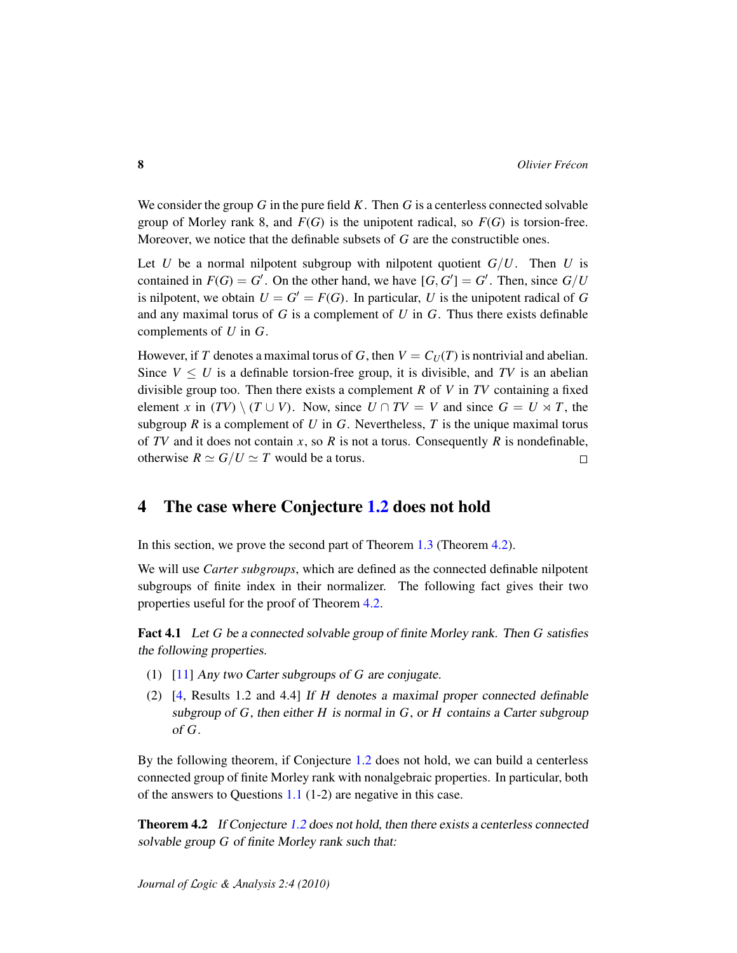We consider the group *G* in the pure field *K*. Then *G* is a centerless connected solvable group of Morley rank 8, and  $F(G)$  is the unipotent radical, so  $F(G)$  is torsion-free. Moreover, we notice that the definable subsets of *G* are the constructible ones.

Let *U* be a normal nilpotent subgroup with nilpotent quotient  $G/U$ . Then *U* is contained in  $F(G) = G'$ . On the other hand, we have  $[G, G'] = G'$ . Then, since  $G/U$ is nilpotent, we obtain  $U = G' = F(G)$ . In particular, U is the unipotent radical of G and any maximal torus of *G* is a complement of *U* in *G*. Thus there exists definable complements of *U* in *G*.

However, if *T* denotes a maximal torus of *G*, then  $V = C_U(T)$  is nontrivial and abelian. Since  $V \leq U$  is a definable torsion-free group, it is divisible, and TV is an abelian divisible group too. Then there exists a complement *R* of *V* in *TV* containing a fixed element *x* in  $(TV) \setminus (T \cup V)$ . Now, since  $U \cap TV = V$  and since  $G = U \rtimes T$ , the subgroup  $R$  is a complement of  $U$  in  $G$ . Nevertheless,  $T$  is the unique maximal torus of *TV* and it does not contain *x*, so *R* is not a torus. Consequently *R* is nondefinable, otherwise  $R \simeq G/U \simeq T$  would be a torus.  $\Box$ 

### <span id="page-7-0"></span>4 The case where Conjecture [1.2](#page-1-0) does not hold

In this section, we prove the second part of Theorem [1.3](#page-0-0) (Theorem [4.2\)](#page-7-1).

We will use *Carter subgroups*, which are defined as the connected definable nilpotent subgroups of finite index in their normalizer. The following fact gives their two properties useful for the proof of Theorem [4.2.](#page-7-1)

<span id="page-7-2"></span>Fact 4.1 Let *G* be a connected solvable group of finite Morley rank. Then *G* satisfies the following properties.

- (1) [\[11\]](#page-14-1) Any two Carter subgroups of *G* are conjugate.
- (2) [\[4,](#page-13-4) Results 1.2 and 4.4] If *H* denotes a maximal proper connected definable subgroup of *G*, then either *H* is normal in *G*, or *H* contains a Carter subgroup of *G*.

By the following theorem, if Conjecture [1.2](#page-1-0) does not hold, we can build a centerless connected group of finite Morley rank with nonalgebraic properties. In particular, both of the answers to Questions [1.1](#page-0-0) (1-2) are negative in this case.

<span id="page-7-1"></span>**Theorem 4.2** If Conjecture [1.2](#page-1-0) does not hold, then there exists a centerless connected solvable group *G* of finite Morley rank such that: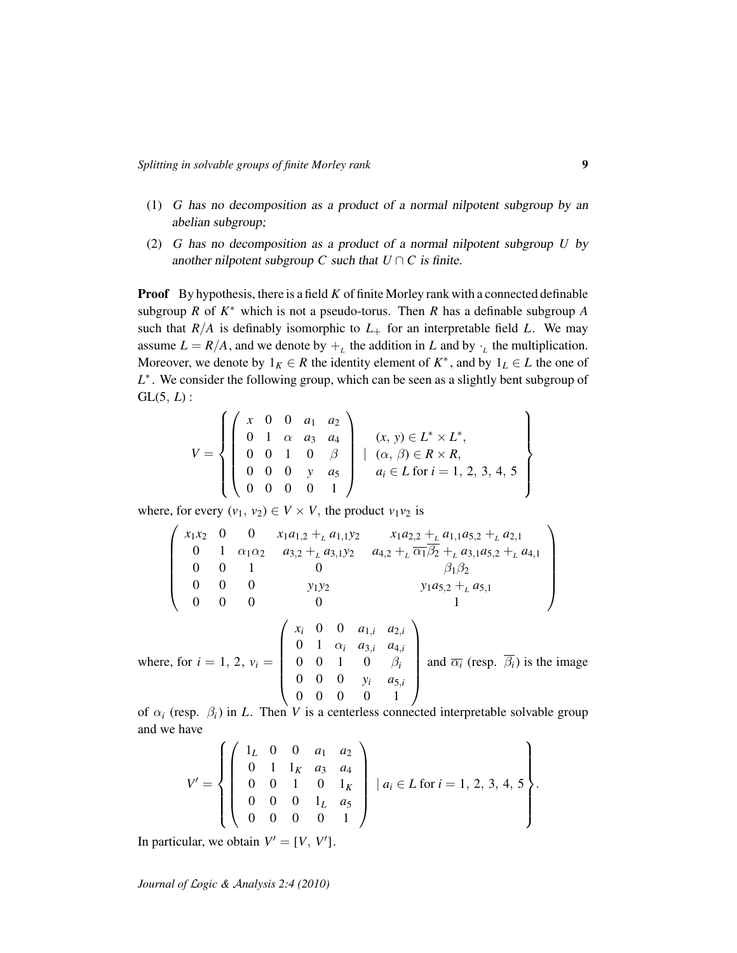- (1) *G* has no decomposition as a product of a normal nilpotent subgroup by an abelian subgroup;
- (2) *G* has no decomposition as a product of a normal nilpotent subgroup *U* by another nilpotent subgroup *C* such that  $U \cap C$  is finite.

**Proof** By hypothesis, there is a field *K* of finite Morley rank with a connected definable subgroup  $R$  of  $K^*$  which is not a pseudo-torus. Then  $R$  has a definable subgroup  $A$ such that  $R/A$  is definably isomorphic to  $L_{+}$  for an interpretable field  $L$ . We may assume  $L = R/A$ , and we denote by  $+_{L}$  the addition in *L* and by  $\cdot_{L}$  the multiplication. Moreover, we denote by  $1_K \in R$  the identity element of  $K^*$ , and by  $1_L \in L$  the one of *L*<sup>\*</sup>. We consider the following group, which can be seen as a slightly bent subgroup of GL(5, *L*) :

$$
V = \left\{ \left( \begin{array}{cccc} x & 0 & 0 & a_1 & a_2 \\ 0 & 1 & \alpha & a_3 & a_4 \\ 0 & 0 & 1 & 0 & \beta \\ 0 & 0 & 0 & y & a_5 \\ 0 & 0 & 0 & 0 & 1 \end{array} \right) \middle| \begin{array}{c} (x, y) \in L^* \times L^*, \\ (\alpha, \beta) \in R \times R, \\ a_i \in L \text{ for } i = 1, 2, 3, 4, 5 \\ \end{array} \right\}
$$

where, for every  $(v_1, v_2) \in V \times V$ , the product  $v_1v_2$  is

$$
\begin{pmatrix}\nx_1x_2 & 0 & 0 & x_1a_{1,2} +_L a_{1,1}y_2 & x_1a_{2,2} +_L a_{1,1}a_{5,2} +_L a_{2,1} \\
0 & 1 & \alpha_1\alpha_2 & a_{3,2} +_L a_{3,1}y_2 & a_{4,2} +_L \overline{\alpha_1}\overline{\beta_2} +_L a_{3,1}a_{5,2} +_L a_{4,1} \\
0 & 0 & 1 & 0 & \beta_1\beta_2 \\
0 & 0 & 0 & y_1y_2 & y_1a_{5,2} +_L a_{5,1} \\
0 & 0 & 0 & 0 & 1\n\end{pmatrix}
$$
\nwhere, for  $i = 1, 2, v_i =$ \n
$$
\begin{pmatrix}\nx_i & 0 & 0 & a_{1,i} & a_{2,i} \\
0 & 1 & \alpha_i & a_{3,i} & a_{4,i} \\
0 & 0 & 1 & 0 & \beta_i \\
0 & 0 & 0 & y_i & a_{5,i} \\
0 & 0 & 0 & 0 & 1\n\end{pmatrix}
$$
 and  $\overline{\alpha_i}$  (resp.  $\overline{\beta_i}$ ) is the image

of  $\alpha_i$  (resp.  $\beta_i$ ) in *L*. Then *V* is a centerless connected interpretable solvable group and we have

$$
V' = \begin{Bmatrix} \begin{pmatrix} 1_L & 0 & 0 & a_1 & a_2 \\ 0 & 1 & 1_K & a_3 & a_4 \\ 0 & 0 & 1 & 0 & 1_K \\ 0 & 0 & 0 & 1_L & a_5 \\ 0 & 0 & 0 & 0 & 1 \end{pmatrix} \mid a_i \in L \text{ for } i = 1, 2, 3, 4, 5 \end{Bmatrix}.
$$

In particular, we obtain  $V' = [V, V']$ .

*Journal of* L*ogic &* A*nalysis 2:4 (2010)*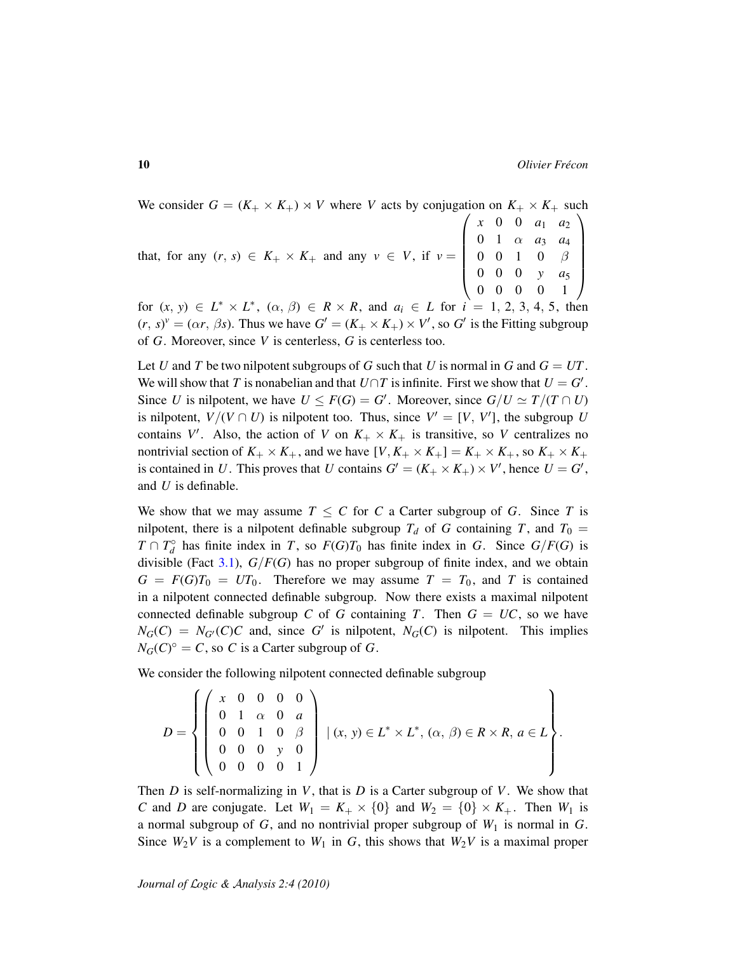We consider  $G = (K_+ \times K_+) \times V$  where *V* acts by conjugation on  $K_+ \times K_+$  such that, for any  $(r, s) \in K_+ \times K_+$  and any  $v \in V$ , if  $v =$  $\sqrt{ }$  *x* 0 0 *a*<sup>1</sup> *a*<sup>2</sup> 0 1  $\alpha$   $a_3$   $a_4$  $0 \t0 \t1 \t0 \t\beta$ 0 0 0 *y a*<sup>5</sup> 0 0 0 0 1  $\setminus$  $\begin{array}{c} \hline \end{array}$ 

for  $(x, y) \in L^* \times L^*$ ,  $(\alpha, \beta) \in R \times R$ , and  $a_i \in L$  for  $i = 1, 2, 3, 4, 5$ , then ∗  $(r, s)^{\nu} = (\alpha r, \beta s)$ . Thus we have  $G' = (K_+ \times K_+) \times V'$ , so  $G'$  is the Fitting subgroup of *G*. Moreover, since *V* is centerless, *G* is centerless too.

Let *U* and *T* be two nilpotent subgroups of *G* such that *U* is normal in *G* and  $G = UT$ . We will show that *T* is nonabelian and that  $U \cap T$  is infinite. First we show that  $U = G'$ . Since *U* is nilpotent, we have  $U \leq F(G) = G'$ . Moreover, since  $G/U \simeq T/(T \cap U)$ is nilpotent,  $V/(V \cap U)$  is nilpotent too. Thus, since  $V' = [V, V']$ , the subgroup *U* contains V'. Also, the action of V on  $K_+ \times K_+$  is transitive, so V centralizes no nontrivial section of  $K_+ \times K_+$ , and we have  $[V, K_+ \times K_+] = K_+ \times K_+$ , so  $K_+ \times K_+$ is contained in *U*. This proves that *U* contains  $G' = (K_+ \times K_+) \times V'$ , hence  $U = G'$ , and *U* is definable.

We show that we may assume  $T \leq C$  for C a Carter subgroup of G. Since T is nilpotent, there is a nilpotent definable subgroup  $T_d$  of *G* containing *T*, and  $T_0 =$  $T \cap T_d^{\circ}$  has finite index in *T*, so  $F(G)T_0$  has finite index in *G*. Since  $G/F(G)$  is divisible (Fact [3.1\)](#page-5-1), *G*/*F*(*G*) has no proper subgroup of finite index, and we obtain  $G = F(G)T_0 = UT_0$ . Therefore we may assume  $T = T_0$ , and *T* is contained in a nilpotent connected definable subgroup. Now there exists a maximal nilpotent connected definable subgroup *C* of *G* containing *T*. Then  $G = UC$ , so we have  $N_G(C) = N_{G'}(C)C$  and, since G' is nilpotent,  $N_G(C)$  is nilpotent. This implies  $N_G(C)^\circ = C$ , so *C* is a Carter subgroup of *G*.

We consider the following nilpotent connected definable subgroup

$$
D = \left\{ \left( \begin{array}{cccc} x & 0 & 0 & 0 & 0 \\ 0 & 1 & \alpha & 0 & a \\ 0 & 0 & 1 & 0 & \beta \\ 0 & 0 & 0 & y & 0 \\ 0 & 0 & 0 & 0 & 1 \end{array} \right) \mid (x, y) \in L^* \times L^*, (\alpha, \beta) \in R \times R, a \in L \right\}.
$$

Then *D* is self-normalizing in *V*, that is *D* is a Carter subgroup of *V*. We show that *C* and *D* are conjugate. Let  $W_1 = K_+ \times \{0\}$  and  $W_2 = \{0\} \times K_+$ . Then  $W_1$  is a normal subgroup of *G*, and no nontrivial proper subgroup of *W*<sup>1</sup> is normal in *G*. Since  $W_2V$  is a complement to  $W_1$  in *G*, this shows that  $W_2V$  is a maximal proper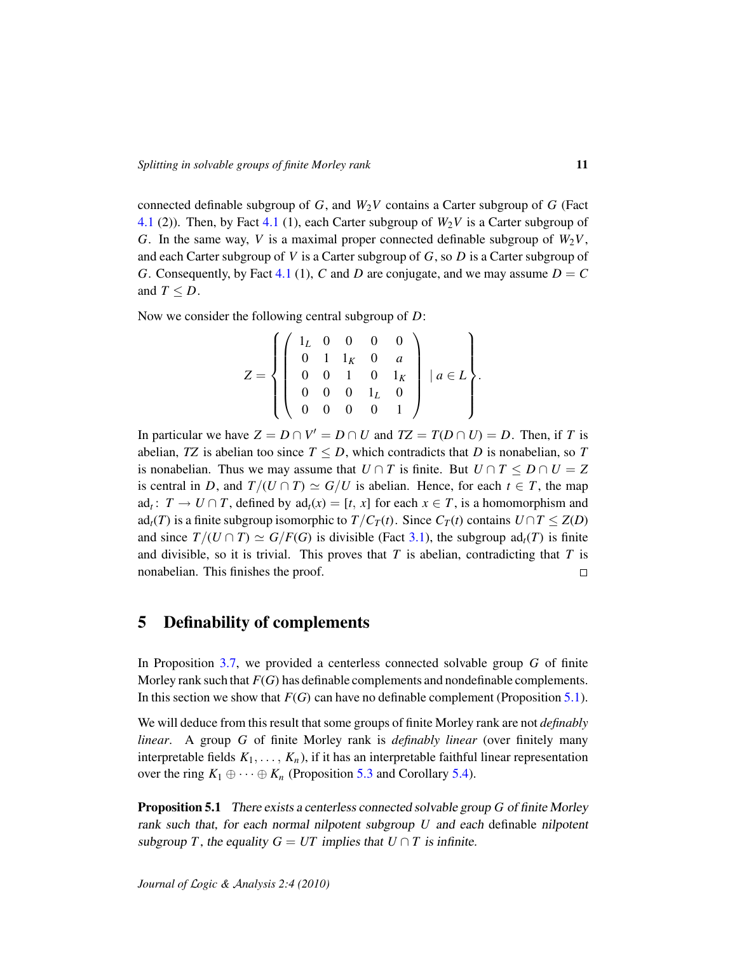connected definable subgroup of  $G$ , and  $W_2V$  contains a Carter subgroup of  $G$  (Fact [4.1](#page-7-2) (2)). Then, by Fact 4.1 (1), each Carter subgroup of  $W_2V$  is a Carter subgroup of *G*. In the same way, *V* is a maximal proper connected definable subgroup of  $W_2V$ , and each Carter subgroup of *V* is a Carter subgroup of *G*, so *D* is a Carter subgroup of *G*. Consequently, by Fact [4.1](#page-7-2) (1), *C* and *D* are conjugate, and we may assume  $D = C$ and  $T \leq D$ .

Now we consider the following central subgroup of *D*:

$$
Z = \left\{ \left( \begin{array}{cccc} 1_L & 0 & 0 & 0 & 0 \\ 0 & 1 & 1_K & 0 & a \\ 0 & 0 & 1 & 0 & 1_K \\ 0 & 0 & 0 & 1_L & 0 \\ 0 & 0 & 0 & 0 & 1 \end{array} \right) \middle| a \in L \right\}.
$$

In particular we have  $Z = D \cap V' = D \cap U$  and  $TZ = T(D \cap U) = D$ . Then, if *T* is abelian, *TZ* is abelian too since  $T \leq D$ , which contradicts that *D* is nonabelian, so *T* is nonabelian. Thus we may assume that  $U \cap T$  is finite. But  $U \cap T \leq D \cap U = Z$ is central in *D*, and  $T/(U \cap T) \simeq G/U$  is abelian. Hence, for each  $t \in T$ , the map ad<sub>t</sub>:  $T \rightarrow U \cap T$ , defined by ad<sub>t</sub> $(x) = [t, x]$  for each  $x \in T$ , is a homomorphism and ad<sub>t</sub>(*T*) is a finite subgroup isomorphic to  $T/C_T(t)$ . Since  $C_T(t)$  contains  $U \cap T \leq Z(D)$ and since  $T/(U \cap T) \simeq G/F(G)$  is divisible (Fact [3.1\)](#page-5-1), the subgroup ad<sub>t</sub>(*T*) is finite and divisible, so it is trivial. This proves that  $T$  is abelian, contradicting that  $T$  is nonabelian. This finishes the proof.  $\Box$ 

### <span id="page-10-0"></span>5 Definability of complements

In Proposition [3.7,](#page-6-0) we provided a centerless connected solvable group *G* of finite Morley rank such that *F*(*G*) has definable complements and nondefinable complements. In this section we show that  $F(G)$  can have no definable complement (Proposition [5.1\)](#page-10-1).

We will deduce from this result that some groups of finite Morley rank are not *definably linear*. A group *G* of finite Morley rank is *definably linear* (over finitely many interpretable fields  $K_1, \ldots, K_n$ ), if it has an interpretable faithful linear representation over the ring  $K_1 \oplus \cdots \oplus K_n$  (Proposition [5.3](#page-12-0) and Corollary [5.4\)](#page-13-5).

<span id="page-10-1"></span>Proposition 5.1 There exists a centerless connected solvable group *G* of finite Morley rank such that, for each normal nilpotent subgroup *U* and each definable nilpotent subgroup *T*, the equality  $G = UT$  implies that  $U \cap T$  is infinite.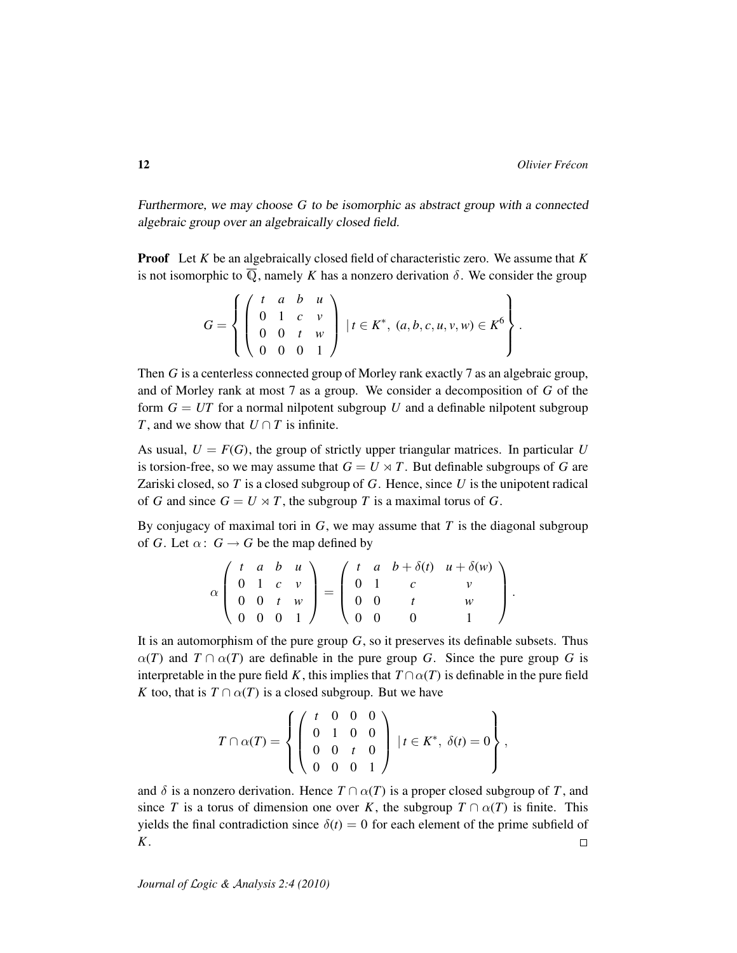Furthermore, we may choose *G* to be isomorphic as abstract group with a connected algebraic group over an algebraically closed field.

Proof Let *K* be an algebraically closed field of characteristic zero. We assume that *K* is not isomorphic to  $\overline{Q}$ , namely *K* has a nonzero derivation  $\delta$ . We consider the group

$$
G = \left\{ \left( \begin{array}{cccc} t & a & b & u \\ 0 & 1 & c & v \\ 0 & 0 & t & w \\ 0 & 0 & 0 & 1 \end{array} \right) \middle| t \in K^*, (a, b, c, u, v, w) \in K^6 \right\}.
$$

Then *G* is a centerless connected group of Morley rank exactly 7 as an algebraic group, and of Morley rank at most 7 as a group. We consider a decomposition of *G* of the form  $G = UT$  for a normal nilpotent subgroup  $U$  and a definable nilpotent subgroup *T*, and we show that  $U \cap T$  is infinite.

As usual,  $U = F(G)$ , the group of strictly upper triangular matrices. In particular U is torsion-free, so we may assume that  $G = U \rtimes T$ . But definable subgroups of G are Zariski closed, so *T* is a closed subgroup of *G*. Hence, since *U* is the unipotent radical of *G* and since  $G = U \rtimes T$ , the subgroup *T* is a maximal torus of *G*.

By conjugacy of maximal tori in *G*, we may assume that *T* is the diagonal subgroup of *G*. Let  $\alpha$ :  $G \rightarrow G$  be the map defined by

$$
\alpha \left( \begin{array}{cccc} t & a & b & u \\ 0 & 1 & c & v \\ 0 & 0 & t & w \\ 0 & 0 & 0 & 1 \end{array} \right) = \left( \begin{array}{cccc} t & a & b + \delta(t) & u + \delta(w) \\ 0 & 1 & c & v \\ 0 & 0 & t & w \\ 0 & 0 & 0 & 1 \end{array} \right).
$$

It is an automorphism of the pure group  $G$ , so it preserves its definable subsets. Thus  $\alpha(T)$  and  $T \cap \alpha(T)$  are definable in the pure group *G*. Since the pure group *G* is interpretable in the pure field *K*, this implies that  $T \cap \alpha(T)$  is definable in the pure field *K* too, that is  $T \cap \alpha(T)$  is a closed subgroup. But we have

$$
T \cap \alpha(T) = \left\{ \left( \begin{array}{rrr} t & 0 & 0 & 0 \\ 0 & 1 & 0 & 0 \\ 0 & 0 & t & 0 \\ 0 & 0 & 0 & 1 \end{array} \right) \, | \, t \in K^*, \, \delta(t) = 0 \right\},
$$

and  $\delta$  is a nonzero derivation. Hence  $T \cap \alpha(T)$  is a proper closed subgroup of T, and since *T* is a torus of dimension one over *K*, the subgroup  $T \cap \alpha(T)$  is finite. This yields the final contradiction since  $\delta(t) = 0$  for each element of the prime subfield of *K*.  $\Box$ 

*Journal of* L*ogic &* A*nalysis 2:4 (2010)*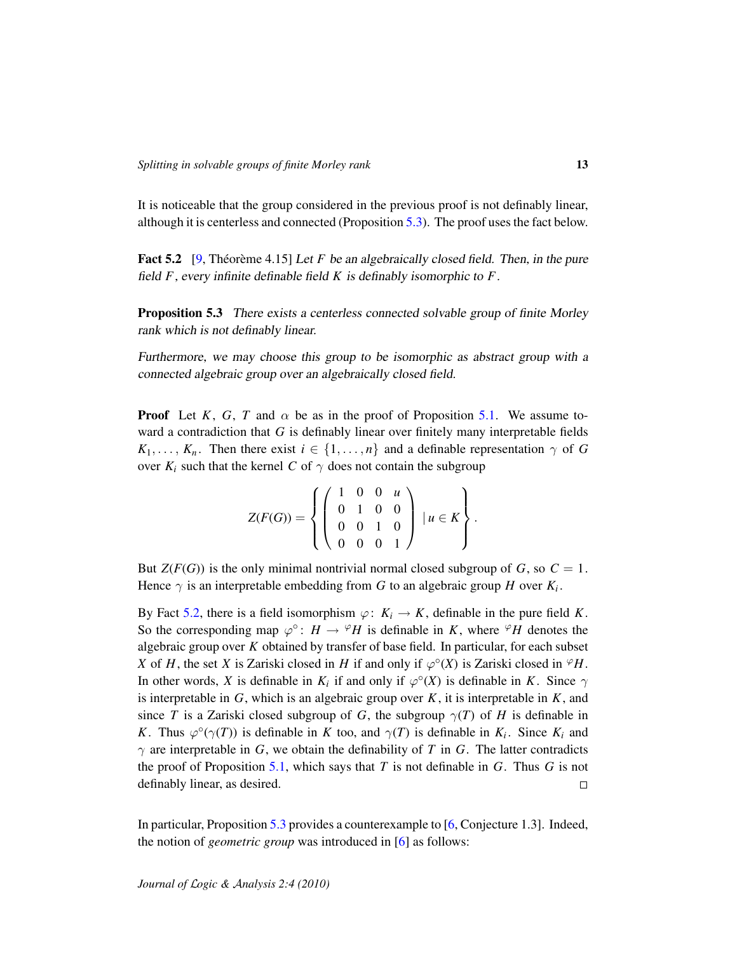It is noticeable that the group considered in the previous proof is not definably linear, although it is centerless and connected (Proposition [5.3\)](#page-12-0). The proof uses the fact below.

<span id="page-12-1"></span>**Fact 5.2** [\[9,](#page-14-5) Théorème 4.15] Let *F* be an algebraically closed field. Then, in the pure field *F*, every infinite definable field *K* is definably isomorphic to *F*.

<span id="page-12-0"></span>Proposition 5.3 There exists a centerless connected solvable group of finite Morley rank which is not definably linear.

Furthermore, we may choose this group to be isomorphic as abstract group with a connected algebraic group over an algebraically closed field.

**Proof** Let *K*, *G*, *T* and  $\alpha$  be as in the proof of Proposition [5.1.](#page-10-1) We assume toward a contradiction that *G* is definably linear over finitely many interpretable fields  $K_1, \ldots, K_n$ . Then there exist  $i \in \{1, \ldots, n\}$  and a definable representation  $\gamma$  of *G* over  $K_i$  such that the kernel *C* of  $\gamma$  does not contain the subgroup

$$
Z(F(G)) = \left\{ \left( \begin{array}{rrr} 1 & 0 & 0 & u \\ 0 & 1 & 0 & 0 \\ 0 & 0 & 1 & 0 \\ 0 & 0 & 0 & 1 \end{array} \right) \mid u \in K \right\}.
$$

But  $Z(F(G))$  is the only minimal nontrivial normal closed subgroup of *G*, so  $C = 1$ . Hence  $\gamma$  is an interpretable embedding from *G* to an algebraic group *H* over  $K_i$ .

By Fact [5.2,](#page-12-1) there is a field isomorphism  $\varphi: K_i \to K$ , definable in the pure field *K*. So the corresponding map  $\varphi^{\circ}$ :  $H \to {}^{\varphi}H$  is definable in *K*, where  ${}^{\varphi}H$  denotes the algebraic group over *K* obtained by transfer of base field. In particular, for each subset *X* of *H*, the set *X* is Zariski closed in *H* if and only if  $\varphi^{\circ}(X)$  is Zariski closed in  $^{\varphi}H$ . In other words, *X* is definable in  $K_i$  if and only if  $\varphi^{\circ}(X)$  is definable in *K*. Since  $\gamma$ is interpretable in  $G$ , which is an algebraic group over  $K$ , it is interpretable in  $K$ , and since *T* is a Zariski closed subgroup of *G*, the subgroup  $\gamma(T)$  of *H* is definable in *K*. Thus  $\varphi^{\circ}(\gamma(T))$  is definable in *K* too, and  $\gamma(T)$  is definable in  $K_i$ . Since  $K_i$  and  $\gamma$  are interpretable in *G*, we obtain the definability of *T* in *G*. The latter contradicts the proof of Proposition [5.1,](#page-10-1) which says that *T* is not definable in *G*. Thus *G* is not definably linear, as desired.  $\Box$ 

In particular, Proposition [5.3](#page-12-0) provides a counterexample to [\[6,](#page-13-6) Conjecture 1.3]. Indeed, the notion of *geometric group* was introduced in [\[6\]](#page-13-6) as follows: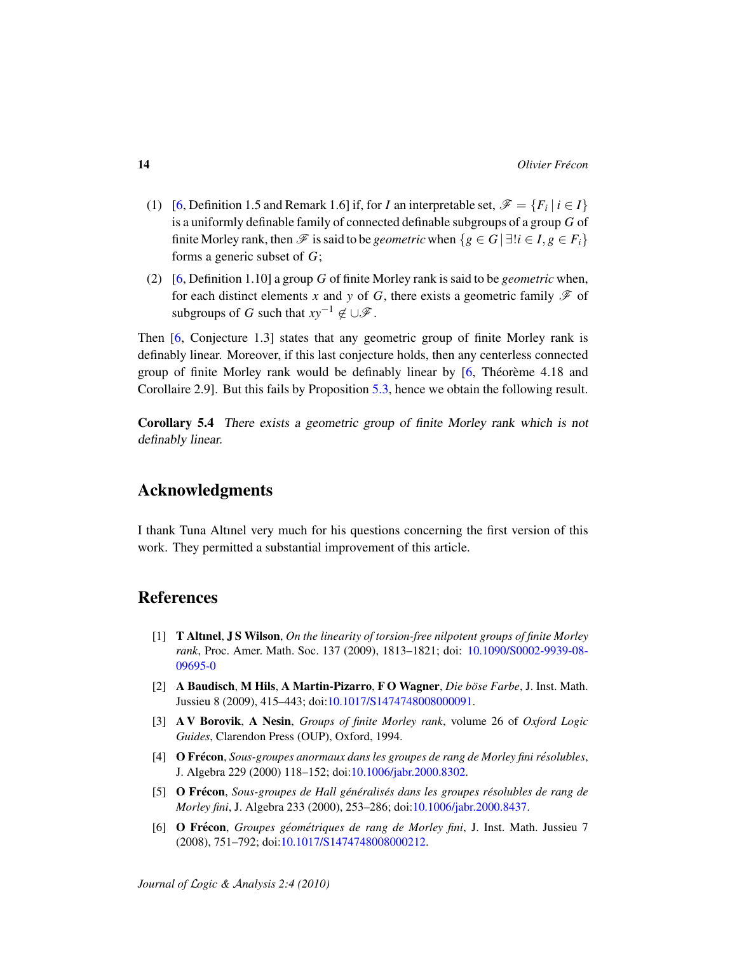- (1) [\[6,](#page-13-6) Definition 1.5 and Remark 1.6] if, for *I* an interpretable set,  $\mathscr{F} = \{F_i \mid i \in I\}$ is a uniformly definable family of connected definable subgroups of a group *G* of finite Morley rank, then  $\mathscr F$  is said to be *geometric* when  $\{g \in G \mid \exists ! i \in I, g \in F_i\}$ forms a generic subset of *G*;
- (2) [\[6,](#page-13-6) Definition 1.10] a group *G* of finite Morley rank is said to be *geometric* when, for each distinct elements x and y of G, there exists a geometric family  $\mathscr F$  of subgroups of *G* such that  $xy^{-1} \notin \bigcup \mathcal{F}$ .

Then [\[6,](#page-13-6) Conjecture 1.3] states that any geometric group of finite Morley rank is definably linear. Moreover, if this last conjecture holds, then any centerless connected group of finite Morley rank would be definably linear by  $[6, Théorème 4.18$  $[6, Théorème 4.18$  and Corollaire 2.9]. But this fails by Proposition [5.3,](#page-12-0) hence we obtain the following result.

<span id="page-13-5"></span>Corollary 5.4 There exists a geometric group of finite Morley rank which is not definably linear.

## Acknowledgments

I thank Tuna Altınel very much for his questions concerning the first version of this work. They permitted a substantial improvement of this article.

# **References**

- <span id="page-13-2"></span>[1] T Altınel, J S Wilson, *On the linearity of torsion-free nilpotent groups of finite Morley rank*, Proc. Amer. Math. Soc. 137 (2009), 1813–1821; doi: [10.1090/S0002-9939-08-](http://dx.doi.org/10.1090/S0002-9939-08-09695-0) [09695-0](http://dx.doi.org/10.1090/S0002-9939-08-09695-0)
- <span id="page-13-1"></span>[2] A Baudisch, M Hils, A Martin-Pizarro, F O Wagner, *Die böse Farbe*, J. Inst. Math. Jussieu 8 (2009), 415–443; doi[:10.1017/S1474748008000091.](http://dx.doi.org/10.1017/S1474748008000091)
- <span id="page-13-0"></span>[3] A V Borovik, A Nesin, *Groups of finite Morley rank*, volume 26 of *Oxford Logic Guides*, Clarendon Press (OUP), Oxford, 1994.
- <span id="page-13-4"></span>[4] O Frécon, *Sous-groupes anormaux dans les groupes de rang de Morley fini résolubles*, J. Algebra 229 (2000) 118–152; doi[:10.1006/jabr.2000.8302.](http://dx.doi.org/10.1006/jabr.2000.8302)
- <span id="page-13-3"></span>[5] O Frecon ´ , *Sous-groupes de Hall gen´ eralis ´ es dans les groupes r ´ esolubles de rang de ´ Morley fini*, J. Algebra 233 (2000), 253–286; doi[:10.1006/jabr.2000.8437.](http://dx.doi.org/10.1006/jabr.2000.8437)
- <span id="page-13-6"></span>[6] O Frecon ´ , *Groupes geom ´ etriques de rang de Morley fini ´* , J. Inst. Math. Jussieu 7 (2008), 751–792; doi[:10.1017/S1474748008000212.](http://dx.doi.org/10.1017/S1474748008000212)